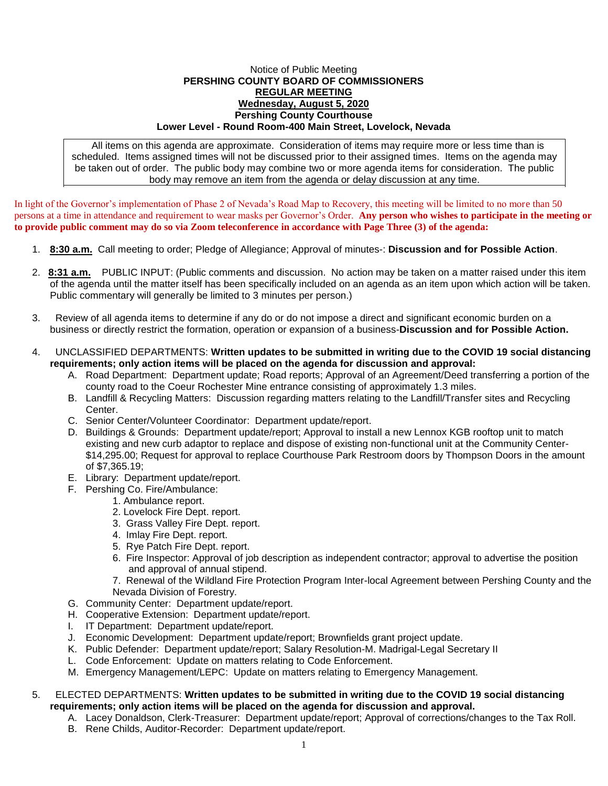## Notice of Public Meeting **PERSHING COUNTY BOARD OF COMMISSIONERS REGULAR MEETING Wednesday, August 5, 2020 Pershing County Courthouse Lower Level - Round Room-400 Main Street, Lovelock, Nevada**

All items on this agenda are approximate. Consideration of items may require more or less time than is scheduled. Items assigned times will not be discussed prior to their assigned times. Items on the agenda may be taken out of order. The public body may combine two or more agenda items for consideration. The public body may remove an item from the agenda or delay discussion at any time.

In light of the Governor's implementation of Phase 2 of Nevada's Road Map to Recovery, this meeting will be limited to no more than 50 persons at a time in attendance and requirement to wear masks per Governor's Order. **Any person who wishes to participate in the meeting or to provide public comment may do so via Zoom teleconference in accordance with Page Three (3) of the agenda:** 

- 1. **8:30 a.m.** Call meeting to order; Pledge of Allegiance; Approval of minutes-: **Discussion and for Possible Action**.
- 2. **8:31 a.m.** PUBLIC INPUT: (Public comments and discussion. No action may be taken on a matter raised under this item of the agenda until the matter itself has been specifically included on an agenda as an item upon which action will be taken. Public commentary will generally be limited to 3 minutes per person.)
- 3. Review of all agenda items to determine if any do or do not impose a direct and significant economic burden on a business or directly restrict the formation, operation or expansion of a business-**Discussion and for Possible Action.**
- 4. UNCLASSIFIED DEPARTMENTS: **Written updates to be submitted in writing due to the COVID 19 social distancing requirements; only action items will be placed on the agenda for discussion and approval:**
	- A. Road Department: Department update; Road reports; Approval of an Agreement/Deed transferring a portion of the county road to the Coeur Rochester Mine entrance consisting of approximately 1.3 miles.
	- B. Landfill & Recycling Matters: Discussion regarding matters relating to the Landfill/Transfer sites and Recycling Center.
	- C. Senior Center/Volunteer Coordinator: Department update/report.
	- D. Buildings & Grounds: Department update/report; Approval to install a new Lennox KGB rooftop unit to match existing and new curb adaptor to replace and dispose of existing non-functional unit at the Community Center- \$14,295.00; Request for approval to replace Courthouse Park Restroom doors by Thompson Doors in the amount of \$7,365.19;
	- E. Library: Department update/report.
	- F. Pershing Co. Fire/Ambulance:
		- 1. Ambulance report.
		- 2. Lovelock Fire Dept. report.
		- 3. Grass Valley Fire Dept. report.
		- 4. Imlay Fire Dept. report.
		- 5. Rye Patch Fire Dept. report.
		- 6. Fire Inspector: Approval of job description as independent contractor; approval to advertise the position and approval of annual stipend.
		- 7. Renewal of the Wildland Fire Protection Program Inter-local Agreement between Pershing County and the Nevada Division of Forestry.
	- G. Community Center: Department update/report.
	- H. Cooperative Extension: Department update/report.
	- I. IT Department: Department update/report.
	- J. Economic Development: Department update/report; Brownfields grant project update.
	- K. Public Defender: Department update/report; Salary Resolution-M. Madrigal-Legal Secretary II
	- L. Code Enforcement: Update on matters relating to Code Enforcement.
	- M. Emergency Management/LEPC: Update on matters relating to Emergency Management.

## 5. ELECTED DEPARTMENTS: **Written updates to be submitted in writing due to the COVID 19 social distancing requirements; only action items will be placed on the agenda for discussion and approval.**

- A. Lacey Donaldson, Clerk-Treasurer: Department update/report; Approval of corrections/changes to the Tax Roll.
- B. Rene Childs, Auditor-Recorder: Department update/report.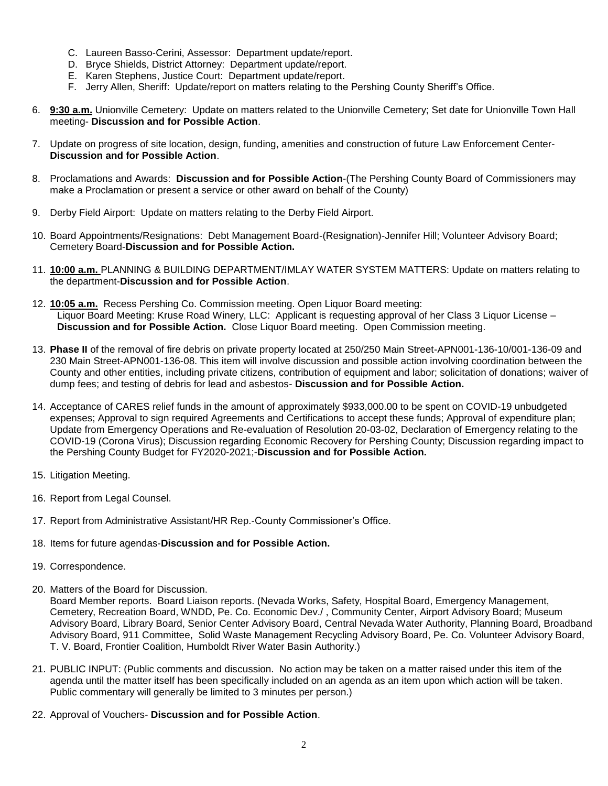- C. Laureen Basso-Cerini, Assessor: Department update/report.
- D. Bryce Shields, District Attorney: Department update/report.
- E. Karen Stephens, Justice Court: Department update/report.
- F. Jerry Allen, Sheriff: Update/report on matters relating to the Pershing County Sheriff's Office.
- 6. **9:30 a.m.** Unionville Cemetery: Update on matters related to the Unionville Cemetery; Set date for Unionville Town Hall meeting- **Discussion and for Possible Action**.
- 7. Update on progress of site location, design, funding, amenities and construction of future Law Enforcement Center-**Discussion and for Possible Action**.
- 8. Proclamations and Awards: **Discussion and for Possible Action**-(The Pershing County Board of Commissioners may make a Proclamation or present a service or other award on behalf of the County)
- 9. Derby Field Airport: Update on matters relating to the Derby Field Airport.
- 10. Board Appointments/Resignations: Debt Management Board-(Resignation)-Jennifer Hill; Volunteer Advisory Board; Cemetery Board-**Discussion and for Possible Action.**
- 11. **10:00 a.m.** PLANNING & BUILDING DEPARTMENT/IMLAY WATER SYSTEM MATTERS: Update on matters relating to the department-**Discussion and for Possible Action**.
- 12. **10:05 a.m.** Recess Pershing Co. Commission meeting. Open Liquor Board meeting: Liquor Board Meeting: Kruse Road Winery, LLC: Applicant is requesting approval of her Class 3 Liquor License – **Discussion and for Possible Action.** Close Liquor Board meeting. Open Commission meeting.
- 13. **Phase II** of the removal of fire debris on private property located at 250/250 Main Street-APN001-136-10/001-136-09 and 230 Main Street-APN001-136-08. This item will involve discussion and possible action involving coordination between the County and other entities, including private citizens, contribution of equipment and labor; solicitation of donations; waiver of dump fees; and testing of debris for lead and asbestos- **Discussion and for Possible Action.**
- 14. Acceptance of CARES relief funds in the amount of approximately \$933,000.00 to be spent on COVID-19 unbudgeted expenses; Approval to sign required Agreements and Certifications to accept these funds; Approval of expenditure plan; Update from Emergency Operations and Re-evaluation of Resolution 20-03-02, Declaration of Emergency relating to the COVID-19 (Corona Virus); Discussion regarding Economic Recovery for Pershing County; Discussion regarding impact to the Pershing County Budget for FY2020-2021;-**Discussion and for Possible Action.**
- 15. Litigation Meeting.
- 16. Report from Legal Counsel.
- 17. Report from Administrative Assistant/HR Rep.-County Commissioner's Office.
- 18. Items for future agendas-**Discussion and for Possible Action.**
- 19. Correspondence.
- 20. Matters of the Board for Discussion.

Board Member reports. Board Liaison reports. (Nevada Works, Safety, Hospital Board, Emergency Management, Cemetery, Recreation Board, WNDD, Pe. Co. Economic Dev./ , Community Center, Airport Advisory Board; Museum Advisory Board, Library Board, Senior Center Advisory Board, Central Nevada Water Authority, Planning Board, Broadband Advisory Board, 911 Committee, Solid Waste Management Recycling Advisory Board, Pe. Co. Volunteer Advisory Board, T. V. Board, Frontier Coalition, Humboldt River Water Basin Authority.)

- 21. PUBLIC INPUT: (Public comments and discussion. No action may be taken on a matter raised under this item of the agenda until the matter itself has been specifically included on an agenda as an item upon which action will be taken. Public commentary will generally be limited to 3 minutes per person.)
- 22. Approval of Vouchers- **Discussion and for Possible Action**.